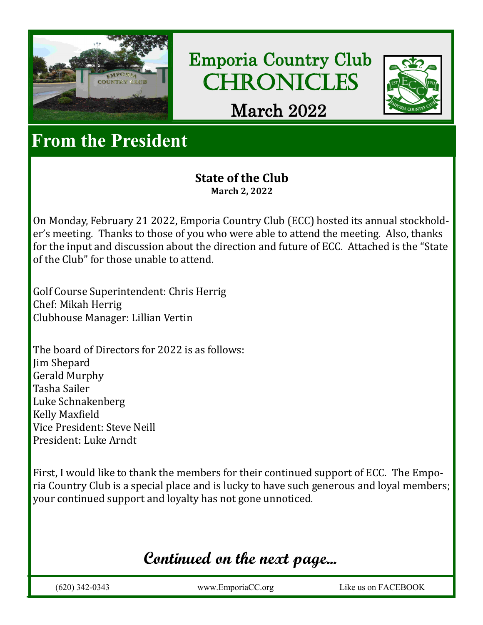

Emporia Country Club **CHRONICLES** 



March 2022

## **From the President**

#### **State of the Club March 2, 2022**

On Monday, February 21 2022, Emporia Country Club (ECC) hosted its annual stockholder's meeting. Thanks to those of you who were able to attend the meeting. Also, thanks for the input and discussion about the direction and future of ECC. Attached is the "State of the Club" for those unable to attend.

Golf Course Superintendent: Chris Herrig Chef: Mikah Herrig Clubhouse Manager: Lillian Vertin

The board of Directors for 2022 is as follows: Jim Shepard Gerald Murphy Tasha Sailer Luke Schnakenberg Kelly Maxfield Vice President: Steve Neill President: Luke Arndt

First, I would like to thank the members for their continued support of ECC. The Emporia Country Club is a special place and is lucky to have such generous and loyal members; your continued support and loyalty has not gone unnoticed.

## **Continued on the next page...**

(620) 342-0343 www.EmporiaCC.org Like us on FACEBOOK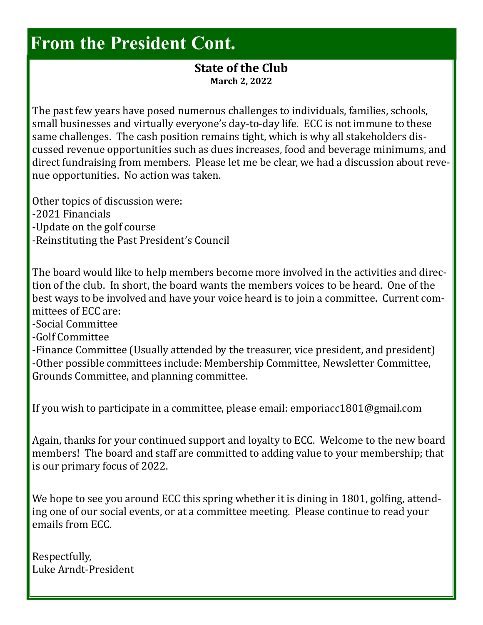## **From the President Cont.**

#### **State of the Club March 2, 2022**

The past few years have posed numerous challenges to individuals, families, schools, small businesses and virtually everyone's day-to-day life. ECC is not immune to these same challenges. The cash position remains tight, which is why all stakeholders discussed revenue opportunities such as dues increases, food and beverage minimums, and direct fundraising from members. Please let me be clear, we had a discussion about revenue opportunities. No action was taken.

Other topics of discussion were:

- -2021 Financials
- -Update on the golf course
- -Reinstituting the Past President's Council

The board would like to help members become more involved in the activities and direction of the club. In short, the board wants the members voices to be heard. One of the best ways to be involved and have your voice heard is to join a committee. Current committees of ECC are:

-Social Committee

-Golf Committee

-Finance Committee (Usually attended by the treasurer, vice president, and president) -Other possible committees include: Membership Committee, Newsletter Committee, Grounds Committee, and planning committee.

If you wish to participate in a committee, please email: emporiacc1801@gmail.com

Again, thanks for your continued support and loyalty to ECC. Welcome to the new board members! The board and staff are committed to adding value to your membership; that is our primary focus of 2022.

We hope to see you around ECC this spring whether it is dining in 1801, golfing, attending one of our social events, or at a committee meeting. Please continue to read your emails from ECC.

Respectfully, Luke Arndt-President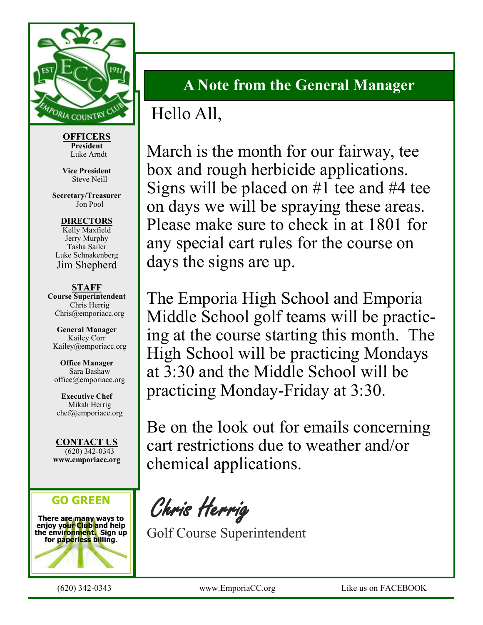

**OFFICERS President** Luke Arndt

**Vice President** Steve Neill

**Secretary/Treasurer** Jon Pool

**DIRECTORS** Kelly Maxfield Jerry Murphy Tasha Sailer Luke Schnakenberg Jim Shepherd

**STAFF Course Superintendent** Chris Herrig Chris@emporiacc.org

**General Manager** Kailey Corr Kailey@emporiacc.org

**Office Manager** Sara Bashaw office@emporiacc.org

**Executive Chef** Mikah Herrig chef@emporiacc.org

**CONTACT US** (620) 342-0343 **www.emporiacc.org**

#### **GO GREEN**

**There are many ways to enjoy your Club and help for paperless billing**.



### **A Note from the General Manager**

## Hello All,

March is the month for our fairway, tee box and rough herbicide applications. Signs will be placed on #1 tee and #4 tee on days we will be spraying these areas. Please make sure to check in at 1801 for any special cart rules for the course on days the signs are up.

The Emporia High School and Emporia Middle School golf teams will be practicing at the course starting this month. The High School will be practicing Mondays at 3:30 and the Middle School will be practicing Monday-Friday at 3:30.

Be on the look out for emails concerning cart restrictions due to weather and/or chemical applications.

Chris Herrig

Golf Course Superintendent

(620) 342-0343 www.EmporiaCC.org Like us on FACEBOOK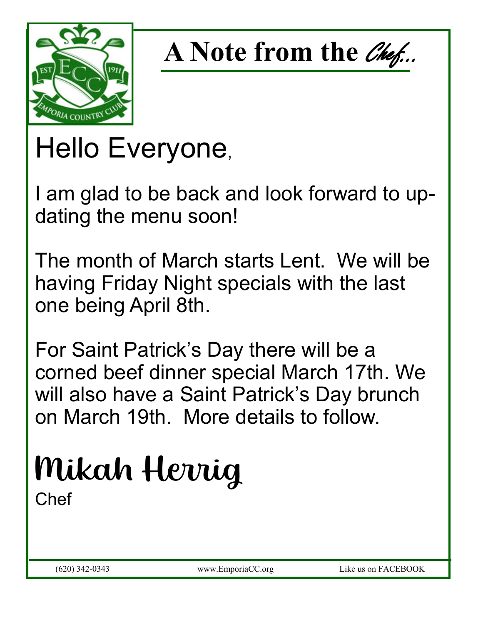



# Hello Everyone,

I am glad to be back and look forward to updating the menu soon!

The month of March starts Lent. We will be having Friday Night specials with the last one being April 8th.

For Saint Patrick's Day there will be a corned beef dinner special March 17th. We will also have a Saint Patrick's Day brunch on March 19th. More details to follow.

## Mikah Herrig Chef